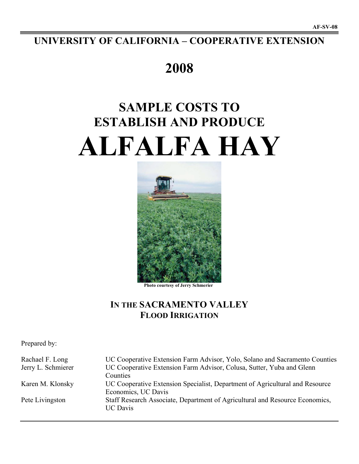## **UNIVERSITY OF CALIFORNIA – COOPERATIVE EXTENSION**

## **2008**

# **SAMPLE COSTS TO ESTABLISH AND PRODUCE ALFALFA HAY**



 **Photo courtesy of Jerry Schmerier**

## **IN THE SACRAMENTO VALLEY FLOOD IRRIGATION**

Prepared by:

Rachael F. Long UC Cooperative Extension Farm Advisor, Yolo, Solano and Sacramento Counties Jerry L. Schmierer UC Cooperative Extension Farm Advisor, Colusa, Sutter, Yuba and Glenn Counties Karen M. Klonsky UC Cooperative Extension Specialist, Department of Agricultural and Resource Economics, UC Davis Pete Livingston Staff Research Associate, Department of Agricultural and Resource Economics, UC Davis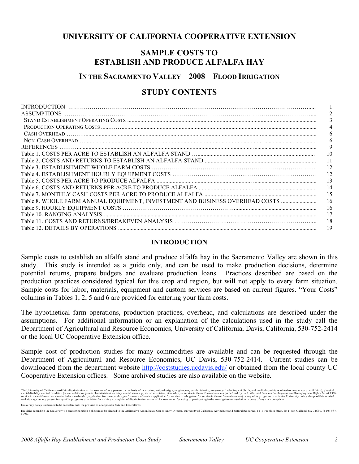## **UNIVERSITY OF CALIFORNIA COOPERATIVE EXTENSION**

## **SAMPLE COSTS TO ESTABLISH AND PRODUCE ALFALFA HAY**

## **IN THE SACRAMENTO VALLEY – 2008 – FLOOD IRRIGATION**

## **STUDY CONTENTS**

| <b>INTRODUCTION</b>                                                          |    |
|------------------------------------------------------------------------------|----|
| <b>ASSUMPTIONS</b>                                                           |    |
|                                                                              | 3  |
|                                                                              |    |
|                                                                              | 6  |
|                                                                              | 6  |
| <b>REFERENCES</b>                                                            | 9  |
|                                                                              | 10 |
|                                                                              | 11 |
|                                                                              | 12 |
|                                                                              | 12 |
|                                                                              | 13 |
|                                                                              | 14 |
|                                                                              | 15 |
| Table 8. WHOLE FARM ANNUAL EQUIPMENT, INVESTMENT AND BUSINESS OVERHEAD COSTS | 16 |
|                                                                              | 16 |
|                                                                              | 17 |
|                                                                              | 18 |
|                                                                              | 19 |

## **INTRODUCTION**

Sample costs to establish an alfalfa stand and produce alfalfa hay in the Sacramento Valley are shown in this study. This study is intended as a guide only, and can be used to make production decisions, determine potential returns, prepare budgets and evaluate production loans. Practices described are based on the production practices considered typical for this crop and region, but will not apply to every farm situation. Sample costs for labor, materials, equipment and custom services are based on current figures. "Your Costs" columns in Tables 1, 2, 5 and 6 are provided for entering your farm costs.

The hypothetical farm operations, production practices, overhead, and calculations are described under the assumptions. For additional information or an explanation of the calculations used in the study call the Department of Agricultural and Resource Economics, University of California, Davis, California, 530-752-2414 or the local UC Cooperative Extension office.

Sample cost of production studies for many commodities are available and can be requested through the Department of Agricultural and Resource Economics, UC Davis, 530-752-2414. Current studies can be downloaded from the department website http://coststudies.ucdavis.edu/ or obtained from the local county UC Cooperative Extension offices. Some archived studies are also available on the website.

The University of California probibits discrimination or harasment of any person on the basis of race, color, national states, age, sexual orientation, citizenship, or service in the uniformed services (as defined by the U University policy is intended to be consistent with the provisions of applicable State and Federal laws.

Inquires regarding the University's nondiscrimination policies may be directed to the Affirmative Action/Equal Opportunity Director, University of California, Agriculture and Natural Resources, 1111 Franklin Street, 6th Fl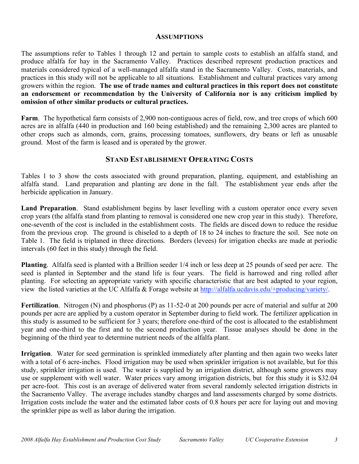## **ASSUMPTIONS**

The assumptions refer to Tables 1 through 12 and pertain to sample costs to establish an alfalfa stand, and produce alfalfa for hay in the Sacramento Valley. Practices described represent production practices and materials considered typical of a well-managed alfalfa stand in the Sacramento Valley. Costs, materials, and practices in this study will not be applicable to all situations. Establishment and cultural practices vary among growers within the region. **The use of trade names and cultural practices in this report does not constitute an endorsement or recommendation by the University of California nor is any criticism implied by omission of other similar products or cultural practices.**

**Farm**. The hypothetical farm consists of 2,900 non-contiguous acres of field, row, and tree crops of which 600 acres are in alfalfa (440 in production and 160 being established) and the remaining 2,300 acres are planted to other crops such as almonds, corn, grains, processing tomatoes, sunflowers, dry beans or left as unusable ground. Most of the farm is leased and is operated by the grower.

## **STAND ESTABLISHMENT OPERATING COSTS**

Tables 1 to 3 show the costs associated with ground preparation, planting, equipment, and establishing an alfalfa stand. Land preparation and planting are done in the fall. The establishment year ends after the herbicide application in January.

**Land Preparation**. Stand establishment begins by laser levelling with a custom operator once every seven crop years (the alfalfa stand from planting to removal is considered one new crop year in this study). Therefore, one-seventh of the cost is included in the establishment costs. The fields are disced down to reduce the residue from the previous crop. The ground is chiseled to a depth of 18 to 24 inches to fracture the soil. See note on Table 1. The field is triplaned in three directions. Borders (levees) for irrigation checks are made at periodic intervals (60 feet in this study) through the field.

**Planting**. Alfalfa seed is planted with a Brillion seeder 1/4 inch or less deep at 25 pounds of seed per acre. The seed is planted in September and the stand life is four years. The field is harrowed and ring rolled after planting. For selecting an appropriate variety with specific characteristic that are best adapted to your region, view the listed varieties at the UC Alfalfa & Forage website at http://alfalfa.ucdavis.edu/+producing/variety/.

**Fertilization**. Nitrogen (N) and phosphorus (P) as 11-52-0 at 200 pounds per acre of material and sulfur at 200 pounds per acre are applied by a custom operator in September during to field work. The fertilizer application in this study is assumed to be sufficient for 3 years; therefore one-third of the cost is allocated to the establishment year and one-third to the first and to the second production year. Tissue analyses should be done in the beginning of the third year to determine nutrient needs of the alfalfa plant.

**Irrigation**. Water for seed germination is sprinkled immediately after planting and then again two weeks later with a total of 6 acre-inches. Flood irrigation may be used when sprinkler irrigation is not available, but for this study, sprinkler irrigation is used. The water is supplied by an irrigation district, although some growers may use or supplement with well water. Water prices vary among irrigation districts, but for this study it is \$32.04 per acre-foot. This cost is an average of delivered water from several randomly selected irrigation districts in the Sacramento Valley. The average includes standby charges and land assessments charged by some districts. Irrigation costs include the water and the estimated labor costs of 0.8 hours per acre for laying out and moving the sprinkler pipe as well as labor during the irrigation.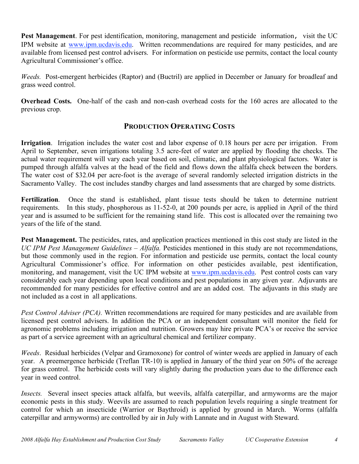**Pest Management**. For pest identification, monitoring, management and pesticide information, visit the UC IPM website at www.ipm.ucdavis.edu. Written recommendations are required for many pesticides, and are available from licensed pest control advisers. For information on pesticide use permits, contact the local county Agricultural Commissioner's office.

*Weeds.* Post-emergent herbicides (Raptor) and (Buctril) are applied in December or January for broadleaf and grass weed control.

**Overhead Costs.** One-half of the cash and non-cash overhead costs for the 160 acres are allocated to the previous crop.

## **PRODUCTION OPERATING COSTS**

**Irrigation**. Irrigation includes the water cost and labor expense of 0.18 hours per acre per irrigation. From April to September, seven irrigations totaling 3.5 acre-feet of water are applied by flooding the checks. The actual water requirement will vary each year based on soil, climatic, and plant physiological factors. Water is pumped through alfalfa valves at the head of the field and flows down the alfalfa check between the borders. The water cost of \$32.04 per acre-foot is the average of several randomly selected irrigation districts in the Sacramento Valley. The cost includes standby charges and land assessments that are charged by some districts.

**Fertilization**. Once the stand is established, plant tissue tests should be taken to determine nutrient requirements. In this study, phosphorous as 11-52-0, at 200 pounds per acre, is applied in April of the third year and is assumed to be sufficient for the remaining stand life. This cost is allocated over the remaining two years of the life of the stand.

**Pest Management.** The pesticides, rates, and application practices mentioned in this cost study are listed in the *UC IPM Pest Management Guidelines – Alfalfa.* Pesticides mentioned in this study are not recommendations, but those commonly used in the region. For information and pesticide use permits, contact the local county Agricultural Commissioner's office. For information on other pesticides available, pest identification, monitoring, and management, visit the UC IPM website at www.ipm.ucdavis.edu. Pest control costs can vary considerably each year depending upon local conditions and pest populations in any given year. Adjuvants are recommended for many pesticides for effective control and are an added cost. The adjuvants in this study are not included as a cost in all applications.

*Pest Control Adviser (PCA).* Written recommendations are required for many pesticides and are available from licensed pest control advisers. In addition the PCA or an independent consultant will monitor the field for agronomic problems including irrigation and nutrition. Growers may hire private PCA's or receive the service as part of a service agreement with an agricultural chemical and fertilizer company.

*Weeds*. Residual herbicides (Velpar and Gramoxone) for control of winter weeds are applied in January of each year. A preemergence herbicide (Treflan TR-10) is applied in January of the third year on 50% of the acreage for grass control. The herbicide costs will vary slightly during the production years due to the difference each year in weed control.

*Insects.* Several insect species attack alfalfa, but weevils, alfalfa caterpillar, and armyworms are the major economic pests in this study. Weevils are assumed to reach population levels requiring a single treatment for control for which an insecticide (Warrior or Baythroid) is applied by ground in March. Worms (alfalfa caterpillar and armyworms) are controlled by air in July with Lannate and in August with Steward.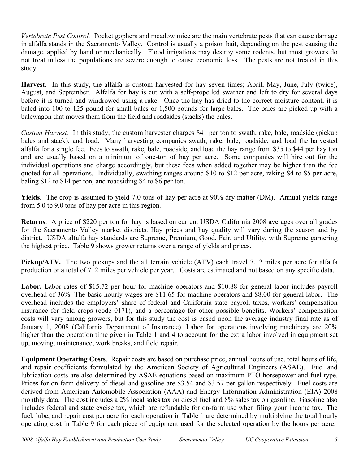*Vertebrate Pest Control.* Pocket gophers and meadow mice are the main vertebrate pests that can cause damage in alfalfa stands in the Sacramento Valley. Control is usually a poison bait, depending on the pest causing the damage, applied by hand or mechanically. Flood irrigations may destroy some rodents, but most growers do not treat unless the populations are severe enough to cause economic loss. The pests are not treated in this study.

**Harvest**. In this study, the alfalfa is custom harvested for hay seven times; April, May, June, July (twice), August, and September. Alfalfa for hay is cut with a self-propelled swather and left to dry for several days before it is turned and windrowed using a rake. Once the hay has dried to the correct moisture content, it is baled into 100 to 125 pound for small bales or 1,500 pounds for large bales. The bales are picked up with a balewagon that moves them from the field and roadsides (stacks) the bales.

*Custom Harvest.* In this study, the custom harvester charges \$41 per ton to swath, rake, bale, roadside (pickup bales and stack), and load. Many harvesting companies swath, rake, bale, roadside, and load the harvested alfalfa for a single fee. Fees to swath, rake, bale, roadside, and load the hay range from \$35 to \$44 per hay ton and are usually based on a minimum of one-ton of hay per acre. Some companies will hire out for the individual operations and charge accordingly, but these fees when added together may be higher than the fee quoted for all operations. Individually, swathing ranges around \$10 to \$12 per acre, raking \$4 to \$5 per acre, baling \$12 to \$14 per ton, and roadsiding \$4 to \$6 per ton.

**Yields**. The crop is assumed to yield 7.0 tons of hay per acre at 90% dry matter (DM). Annual yields range from 5.0 to 9.0 tons of hay per acre in this region.

**Returns**. A price of \$220 per ton for hay is based on current USDA California 2008 averages over all grades for the Sacramento Valley market districts. Hay prices and hay quality will vary during the season and by district. USDA alfalfa hay standards are Supreme, Premium, Good, Fair, and Utility, with Supreme garnering the highest price. Table 9 shows grower returns over a range of yields and prices.

**Pickup/ATV.** The two pickups and the all terrain vehicle (ATV) each travel 7.12 miles per acre for alfalfa production or a total of 712 miles per vehicle per year. Costs are estimated and not based on any specific data.

Labor. Labor rates of \$15.72 per hour for machine operators and \$10.88 for general labor includes payroll overhead of 36%. The basic hourly wages are \$11.65 for machine operators and \$8.00 for general labor. The overhead includes the employers' share of federal and California state payroll taxes, workers' compensation insurance for field crops (code 0171), and a percentage for other possible benefits. Workers' compensation costs will vary among growers, but for this study the cost is based upon the average industry final rate as of January 1, 2008 (California Department of Insurance). Labor for operations involving machinery are 20% higher than the operation time given in Table 1 and 4 to account for the extra labor involved in equipment set up, moving, maintenance, work breaks, and field repair.

**Equipment Operating Costs**. Repair costs are based on purchase price, annual hours of use, total hours of life, and repair coefficients formulated by the American Society of Agricultural Engineers (ASAE). Fuel and lubrication costs are also determined by ASAE equations based on maximum PTO horsepower and fuel type. Prices for on-farm delivery of diesel and gasoline are \$3.54 and \$3.57 per gallon respectively. Fuel costs are derived from American Automobile Association (AAA) and Energy Information Administration (EIA) 2008 monthly data. The cost includes a 2% local sales tax on diesel fuel and 8% sales tax on gasoline. Gasoline also includes federal and state excise tax, which are refundable for on-farm use when filing your income tax. The fuel, lube, and repair cost per acre for each operation in Table 1 are determined by multiplying the total hourly operating cost in Table 9 for each piece of equipment used for the selected operation by the hours per acre.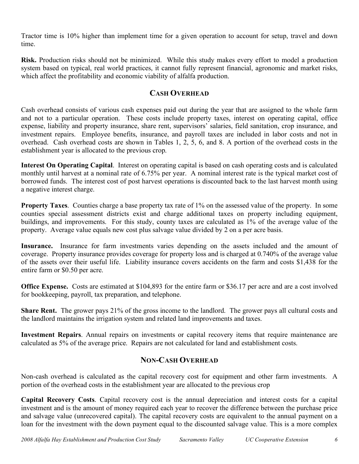Tractor time is 10% higher than implement time for a given operation to account for setup, travel and down time.

**Risk.** Production risks should not be minimized. While this study makes every effort to model a production system based on typical, real world practices, it cannot fully represent financial, agronomic and market risks, which affect the profitability and economic viability of alfalfa production.

## **CASH OVERHEAD**

Cash overhead consists of various cash expenses paid out during the year that are assigned to the whole farm and not to a particular operation. These costs include property taxes, interest on operating capital, office expense, liability and property insurance, share rent, supervisors' salaries, field sanitation, crop insurance, and investment repairs. Employee benefits, insurance, and payroll taxes are included in labor costs and not in overhead. Cash overhead costs are shown in Tables 1, 2, 5, 6, and 8. A portion of the overhead costs in the establishment year is allocated to the previous crop.

**Interest On Operating Capital**. Interest on operating capital is based on cash operating costs and is calculated monthly until harvest at a nominal rate of 6.75% per year. A nominal interest rate is the typical market cost of borrowed funds. The interest cost of post harvest operations is discounted back to the last harvest month using a negative interest charge.

**Property Taxes**. Counties charge a base property tax rate of 1% on the assessed value of the property. In some counties special assessment districts exist and charge additional taxes on property including equipment, buildings, and improvements. For this study, county taxes are calculated as 1% of the average value of the property. Average value equals new cost plus salvage value divided by 2 on a per acre basis.

**Insurance.** Insurance for farm investments varies depending on the assets included and the amount of coverage. Property insurance provides coverage for property loss and is charged at 0.740% of the average value of the assets over their useful life. Liability insurance covers accidents on the farm and costs \$1,438 for the entire farm or \$0.50 per acre.

**Office Expense.** Costs are estimated at \$104,893 for the entire farm or \$36.17 per acre and are a cost involved for bookkeeping, payroll, tax preparation, and telephone.

**Share Rent.** The grower pays 21% of the gross income to the landlord. The grower pays all cultural costs and the landlord maintains the irrigation system and related land improvements and taxes.

**Investment Repairs**. Annual repairs on investments or capital recovery items that require maintenance are calculated as 5% of the average price. Repairs are not calculated for land and establishment costs.

## **NON-CASH OVERHEAD**

Non-cash overhead is calculated as the capital recovery cost for equipment and other farm investments. A portion of the overhead costs in the establishment year are allocated to the previous crop

**Capital Recovery Costs**. Capital recovery cost is the annual depreciation and interest costs for a capital investment and is the amount of money required each year to recover the difference between the purchase price and salvage value (unrecovered capital). The capital recovery costs are equivalent to the annual payment on a loan for the investment with the down payment equal to the discounted salvage value. This is a more complex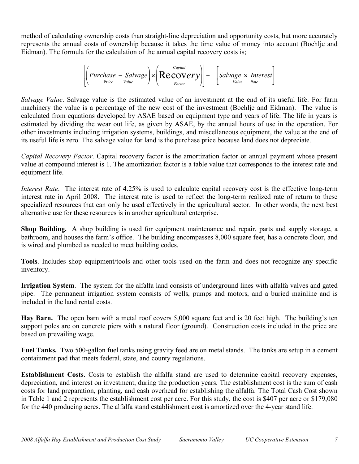method of calculating ownership costs than straight-line depreciation and opportunity costs, but more accurately represents the annual costs of ownership because it takes the time value of money into account (Boehlje and Eidman). The formula for the calculation of the annual capital recovery costs is;

$$
\left[\left(Purchase - \underset{Price}{Salvage}\right) \times \left( \underset{Factor}{Recovery} \right) \right] + \left[\underset{Value}{Salvage \times Interest} \right]
$$

calculated from equations developed by ASAE based on equipment type and years of life. The life in years is *Salvage Value*. Salvage value is the estimated value of an investment at the end of its useful life. For farm machinery the value is a percentage of the new cost of the investment (Boehlje and Eidman). The value is estimated by dividing the wear out life, as given by ASAE, by the annual hours of use in the operation. For other investments including irrigation systems, buildings, and miscellaneous equipment, the value at the end of its useful life is zero. The salvage value for land is the purchase price because land does not depreciate.

*Capital Recovery Factor*. Capital recovery factor is the amortization factor or annual payment whose present value at compound interest is 1. The amortization factor is a table value that corresponds to the interest rate and equipment life.

*Interest Rate*. The interest rate of 4.25% is used to calculate capital recovery cost is the effective long-term interest rate in April 2008. The interest rate is used to reflect the long-term realized rate of return to these specialized resources that can only be used effectively in the agricultural sector. In other words, the next best alternative use for these resources is in another agricultural enterprise.

**Shop Building.** A shop building is used for equipment maintenance and repair, parts and supply storage, a bathroom, and houses the farm's office. The building encompasses 8,000 square feet, has a concrete floor, and is wired and plumbed as needed to meet building codes.

**Tools**. Includes shop equipment/tools and other tools used on the farm and does not recognize any specific inventory.

**Irrigation System**. The system for the alfalfa land consists of underground lines with alfalfa valves and gated pipe. The permanent irrigation system consists of wells, pumps and motors, and a buried mainline and is included in the land rental costs.

**Hay Barn.** The open barn with a metal roof covers 5,000 square feet and is 20 feet high. The building's ten support poles are on concrete piers with a natural floor (ground). Construction costs included in the price are based on prevailing wage.

**Fuel Tanks.** Two 500-gallon fuel tanks using gravity feed are on metal stands. The tanks are setup in a cement containment pad that meets federal, state, and county regulations.

**Establishment Costs**. Costs to establish the alfalfa stand are used to determine capital recovery expenses, depreciation, and interest on investment, during the production years. The establishment cost is the sum of cash costs for land preparation, planting, and cash overhead for establishing the alfalfa. The Total Cash Cost shown in Table 1 and 2 represents the establishment cost per acre. For this study, the cost is \$407 per acre or \$179,080 for the 440 producing acres. The alfalfa stand establishment cost is amortized over the 4-year stand life.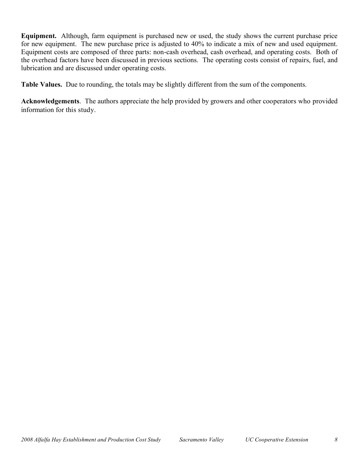**Equipment.** Although, farm equipment is purchased new or used, the study shows the current purchase price for new equipment. The new purchase price is adjusted to 40% to indicate a mix of new and used equipment. Equipment costs are composed of three parts: non-cash overhead, cash overhead, and operating costs. Both of the overhead factors have been discussed in previous sections. The operating costs consist of repairs, fuel, and lubrication and are discussed under operating costs.

**Table Values.** Due to rounding, the totals may be slightly different from the sum of the components.

**Acknowledgements**. The authors appreciate the help provided by growers and other cooperators who provided information for this study.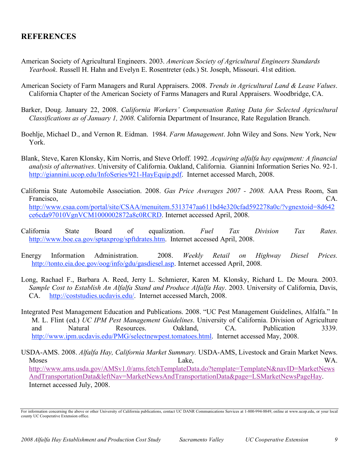## **REFERENCES**

- American Society of Agricultural Engineers. 2003. *American Society of Agricultural Engineers Standards Yearbook*. Russell H. Hahn and Evelyn E. Rosentreter (eds.) St. Joseph, Missouri. 41st edition.
- American Society of Farm Managers and Rural Appraisers. 2008. *Trends in Agricultural Land & Lease Values*. California Chapter of the American Society of Farms Managers and Rural Appraisers. Woodbridge, CA.
- Barker, Doug. January 22, 2008. *California Workers' Compensation Rating Data for Selected Agricultural Classifications as of January 1, 2008.* California Department of Insurance, Rate Regulation Branch.
- Boehlje, Michael D., and Vernon R. Eidman. 1984. *Farm Management*. John Wiley and Sons. New York, New York.
- Blank, Steve, Karen Klonsky, Kim Norris, and Steve Orloff. 1992. *Acquiring alfalfa hay equipment: A financial analysis of alternatives*. University of California. Oakland, California. Giannini Information Series No. 92-1. http://giannini.ucop.edu/InfoSeries/921-HayEquip.pdf. Internet accessed March, 2008.
- California State Automobile Association. 2008. *Gas Price Averages 2007 - 2008.* AAA Press Room, San Francisco, CA. http://www.csaa.com/portal/site/CSAA/menuitem.5313747aa611bd4e320cfad592278a0c/?vgnextoid=8d642 ce6cda97010VgnVCM1000002872a8c0RCRD. Internet accessed April, 2008.
- California State Board of equalization. *Fuel Tax Division Tax Rates.* http://www.boe.ca.gov/sptaxprog/spftdrates.htm. Internet accessed April, 2008.
- Energy Information Administration. 2008. *Weekly Retail on Highway Diesel Prices.* http://tonto.eia.doe.gov/oog/info/gdu/gasdiesel.asp. Internet accessed April, 2008.
- Long, Rachael F., Barbara A. Reed, Jerry L. Schmierer, Karen M. Klonsky, Richard L. De Moura. 2003. *Sample Cost to Establish An Alfalfa Stand and Produce Alfalfa Hay*. 2003. University of California, Davis, CA. http://coststudies.ucdavis.edu/. Internet accessed March, 2008.
- Integrated Pest Management Education and Publications. 2008. "UC Pest Management Guidelines, Alfalfa." In M. L. Flint (ed.) *UC IPM Pest Management Guidelines*. University of California. Division of Agriculture and Natural Resources. Oakland, CA. Publication 3339. http://www.ipm.ucdavis.edu/PMG/selectnewpest.tomatoes.html. Internet accessed May, 2008.
- USDA-AMS. 2008. *Alfalfa Hay, California Market Summary.* USDA-AMS, Livestock and Grain Market News. Moses Lake, WA. http://www.ams.usda.gov/AMSv1.0/ams.fetchTemplateData.do?template=TemplateN&navID=MarketNews AndTransportationData&leftNav=MarketNewsAndTransportationData&page=LSMarketNewsPageHay. Internet accessed July, 2008.

For information concerning the above or other University of California publications, contact UC DANR Communications Services at 1-800-994-8849, online at www.ucop.edu, or your local county UC Cooperative Extension office.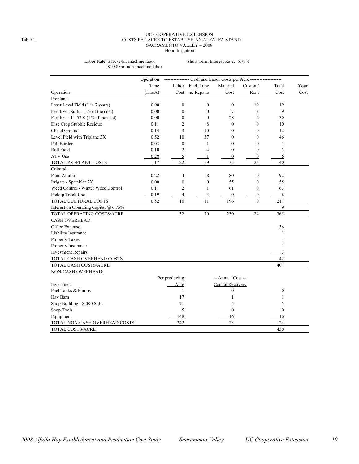### UC COOPERATIVE EXTENSION Table 1. COSTS PER ACRE TO ESTABLISH AN ALFALFA STAND SACRAMENTO VALLEY – 2008 Flood Irrigation

Labor Rate: \$15.72/hr. machine labor Short Term Interest Rate: 6.75% \$10.88hr. non-machine labor

|                                         | Operation | ------- Cash and Labor Costs per Acre -------------------- |                         |                   |                  |                  |      |  |  |
|-----------------------------------------|-----------|------------------------------------------------------------|-------------------------|-------------------|------------------|------------------|------|--|--|
|                                         | Time      | Labor                                                      | Fuel, Lube              | Material          | Custom/          | Total            | Your |  |  |
| Operation                               | (Hrs/A)   | Cost                                                       | & Repairs               | $\mathbf{Cost}$   | Rent             | Cost             | Cost |  |  |
| Preplant:                               |           |                                                            |                         |                   |                  |                  |      |  |  |
| Laser Level Field (1 in 7 years)        | 0.00      | $\boldsymbol{0}$                                           | $\boldsymbol{0}$        | $\boldsymbol{0}$  | 19               | 19               |      |  |  |
| Fertilize - Sulfur (1/3 of the cost)    | 0.00      | $\mathbf{0}$                                               | $\mathbf{0}$            | $\overline{7}$    | 3                | 9                |      |  |  |
| Fertilize - 11-52-0 $(1/3$ of the cost) | 0.00      | $\mathbf{0}$                                               | $\mathbf{0}$            | 28                | $\overline{c}$   | 30               |      |  |  |
| Disc Crop Stubble Residue               | 0.11      | $\overline{2}$                                             | 8                       | $\mathbf{0}$      | $\mathbf{0}$     | 10               |      |  |  |
| Chisel Ground                           | 0.14      | 3                                                          | 10                      | $\mathbf{0}$      | $\mathbf{0}$     | 12               |      |  |  |
| Level Field with Triplane 3X            | 0.52      | 10                                                         | 37                      | $\mathbf{0}$      | $\mathbf{0}$     | 46               |      |  |  |
| Pull Borders                            | 0.03      | $\mathbf{0}$                                               | $\mathbf{1}$            | $\mathbf{0}$      | $\mathbf{0}$     | 1                |      |  |  |
| Roll Field                              | 0.10      | $\overline{2}$                                             | $\overline{\mathbf{4}}$ | $\mathbf{0}$      | $\theta$         | 5                |      |  |  |
| ATV Use                                 | 0.28      | $\overline{5}$                                             | $\mathbf{1}$            | $\boldsymbol{0}$  | $\boldsymbol{0}$ | 6                |      |  |  |
| TOTAL PREPLANT COSTS                    | 1.17      | 22                                                         | 59                      | 35                | 24               | 140              |      |  |  |
| Cultural:                               |           |                                                            |                         |                   |                  |                  |      |  |  |
| Plant Alfalfa                           | 0.22      | $\overline{4}$                                             | 8                       | 80                | $\mathbf{0}$     | 92               |      |  |  |
| Irrigate - Sprinkler 2X                 | 0.00      | $\mathbf{0}$                                               | $\mathbf{0}$            | 55                | $\mathbf{0}$     | 55               |      |  |  |
| Weed Control - Winter Weed Control      | 0.11      | $\overline{2}$                                             | 1                       | 61                | $\theta$         | 63               |      |  |  |
| Pickup Truck Use                        | 0.19      | $\overline{4}$                                             | 3                       | $\boldsymbol{0}$  | $\boldsymbol{0}$ | 6                |      |  |  |
| TOTAL CULTURAL COSTS                    | 0.52      | 10                                                         | 11                      | 196               | $\mathbf{0}$     | 217              |      |  |  |
| Interest on Operating Capital @ 6.75%   |           |                                                            |                         |                   |                  | 9                |      |  |  |
| TOTAL OPERATING COSTS/ACRE              |           | 32                                                         | 70                      | 230               | 24               | 365              |      |  |  |
| <b>CASH OVERHEAD:</b>                   |           |                                                            |                         |                   |                  |                  |      |  |  |
| Office Expense                          |           |                                                            |                         |                   |                  | 36               |      |  |  |
| Liability Insurance                     |           |                                                            |                         |                   |                  | 1                |      |  |  |
| Property Taxes                          |           |                                                            |                         |                   |                  | 1                |      |  |  |
| Property Insurance                      |           |                                                            |                         |                   |                  | 1                |      |  |  |
| <b>Investment Repairs</b>               |           |                                                            |                         |                   |                  | $\overline{3}$   |      |  |  |
| TOTAL CASH OVERHEAD COSTS               |           |                                                            |                         |                   |                  | 42               |      |  |  |
| TOTAL CASH COSTS/ACRE                   |           |                                                            |                         |                   |                  | 407              |      |  |  |
| NON-CASH OVERHEAD:                      |           |                                                            |                         |                   |                  |                  |      |  |  |
|                                         |           | Per producing                                              |                         | -- Annual Cost -- |                  |                  |      |  |  |
| Investment                              |           | Acre                                                       |                         | Capital Recovery  |                  |                  |      |  |  |
| Fuel Tanks & Pumps                      |           | 1                                                          |                         | $\boldsymbol{0}$  |                  | $\boldsymbol{0}$ |      |  |  |
| Hay Barn                                |           | 17                                                         |                         | 1                 |                  | 1                |      |  |  |
| Shop Building - 8,000 SqFt              |           | 71                                                         |                         | 5                 |                  | 5                |      |  |  |
| Shop Tools                              |           | 5                                                          |                         | $\mathbf{0}$      |                  | $\mathbf{0}$     |      |  |  |
| Equipment                               |           | 148                                                        |                         | 16                |                  | 16               |      |  |  |
| TOTAL NON-CASH OVERHEAD COSTS           |           | 242                                                        |                         | 23                |                  | 23               |      |  |  |
| TOTAL COSTS/ACRE                        |           |                                                            |                         |                   |                  | 430              |      |  |  |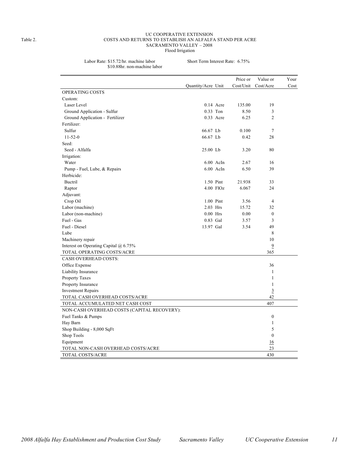### UC COOPERATIVE EXTENSION Table 2. COSTS AND RETURNS TO ESTABLISH AN ALFALFA STAND PER ACRE SACRAMENTO VALLEY – 2008 Flood Irrigation

Labor Rate: \$15.72/hr. machine labor Short Term Interest Rate: 6.75% \$10.88hr. non-machine labor

|                                             |                    |             | Price or  | Value or         | Your |
|---------------------------------------------|--------------------|-------------|-----------|------------------|------|
|                                             | Quantity/Acre Unit |             | Cost/Unit | Cost/Acre        | Cost |
| OPERATING COSTS                             |                    |             |           |                  |      |
| Custom:                                     |                    |             |           |                  |      |
| Laser Level                                 |                    | $0.14$ Acre | 135.00    | 19               |      |
| Ground Application - Sulfur                 |                    | 0.33 Ton    | 8.50      | 3                |      |
| Ground Application - Fertilizer             |                    | 0.33 Acre   | 6.25      | $\overline{c}$   |      |
| Fertilizer:                                 |                    |             |           |                  |      |
| Sulfur                                      | 66.67 Lb           |             | 0.100     | 7                |      |
| $11 - 52 - 0$                               | 66.67 Lb           |             | 0.42      | 28               |      |
| Seed:                                       |                    |             |           |                  |      |
| Seed - Alfalfa                              | 25.00 Lb           |             | 3.20      | 80               |      |
| Irrigation:                                 |                    |             |           |                  |      |
| Water                                       |                    | $6.00$ AcIn | 2.67      | 16               |      |
| Pump - Fuel, Lube, & Repairs                |                    | $6.00$ AcIn | 6.50      | 39               |      |
| Herbicide:                                  |                    |             |           |                  |      |
| Buctril                                     |                    | 1.50 Pint   | 21.938    | 33               |      |
| Raptor                                      |                    | 4.00 FlOz   | 6.067     | 24               |      |
| Adjuvant:                                   |                    |             |           |                  |      |
| Crop Oil                                    |                    | 1.00 Pint   | 3.56      | $\overline{4}$   |      |
| Labor (machine)                             |                    | 2.03 Hrs    | 15.72     | 32               |      |
| Labor (non-machine)                         |                    | $0.00$ Hrs  | 0.00      | $\mathbf{0}$     |      |
| Fuel - Gas                                  |                    | 0.83 Gal    | 3.57      | 3                |      |
| Fuel - Diesel                               | 13.97 Gal          |             | 3.54      | 49               |      |
| Lube                                        |                    |             |           | 8                |      |
| Machinery repair                            |                    |             |           | 10               |      |
| Interest on Operating Capital @ 6.75%       |                    |             |           | $\overline{9}$   |      |
| TOTAL OPERATING COSTS/ACRE                  |                    |             |           | 365              |      |
| CASH OVERHEAD COSTS:                        |                    |             |           |                  |      |
| Office Expense                              |                    |             |           | 36               |      |
| Liability Insurance                         |                    |             |           | $\mathbf{1}$     |      |
| Property Taxes                              |                    |             |           | 1                |      |
| Property Insurance                          |                    |             |           | 1                |      |
| <b>Investment Repairs</b>                   |                    |             |           | $\overline{3}$   |      |
| TOTAL CASH OVERHEAD COSTS/ACRE              |                    |             |           | 42               |      |
| TOTAL ACCUMULATED NET CASH COST             |                    |             |           | 407              |      |
| NON-CASH OVERHEAD COSTS (CAPITAL RECOVERY): |                    |             |           |                  |      |
| Fuel Tanks & Pumps                          |                    |             |           | $\boldsymbol{0}$ |      |
| Hay Barn                                    |                    |             |           | $\mathbf{1}$     |      |
| Shop Building - 8,000 SqFt                  |                    |             |           | 5                |      |
| Shop Tools                                  |                    |             |           | $\boldsymbol{0}$ |      |
| Equipment                                   |                    |             |           | 16               |      |
| TOTAL NON-CASH OVERHEAD COSTS/ACRE          |                    |             |           | 23               |      |
| TOTAL COSTS/ACRE                            |                    |             |           | 430              |      |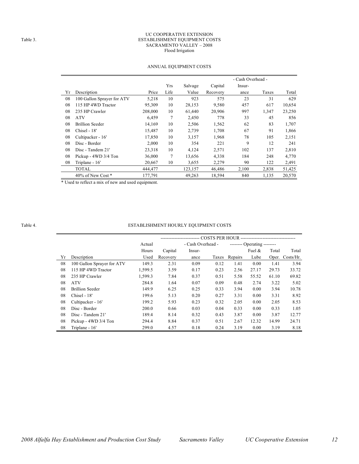### UC COOPERATIVE EXTENSION Table 3. ESTABLISHMENT EQUIPMENT COSTS SACRAMENTO VALLEY – 2008 Flood Irrigation

|    |                            |         |      |         |          |        | - Cash Overhead - |        |  |  |  |
|----|----------------------------|---------|------|---------|----------|--------|-------------------|--------|--|--|--|
|    |                            |         | Yrs  | Salvage | Capital  | Insur- |                   |        |  |  |  |
| Yr | Description                | Price   | Life | Value   | Recovery | ance   | Taxes             | Total  |  |  |  |
| 08 | 100 Gallon Sprayer for ATV | 5,218   | 10   | 923     | 575      | 23     | 31                | 629    |  |  |  |
| 08 | 115 HP 4WD Tractor         | 95,309  | 10   | 28,153  | 9,580    | 457    | 617               | 10,654 |  |  |  |
| 08 | 235 HP Crawler             | 208,000 | 10   | 61,440  | 20,906   | 997    | 1,347             | 23,250 |  |  |  |
| 08 | <b>ATV</b>                 | 6,459   | 7    | 2,450   | 778      | 33     | 45                | 856    |  |  |  |
| 08 | Brillion Seeder            | 14,169  | 10   | 2,506   | 1,562    | 62     | 83                | 1,707  |  |  |  |
| 08 | Chisel - 18'               | 15,487  | 10   | 2,739   | 1,708    | 67     | 91                | 1,866  |  |  |  |
| 08 | Cultipacker - 16'          | 17,850  | 10   | 3,157   | 1,968    | 78     | 105               | 2,151  |  |  |  |
| 08 | Disc - Border              | 2,000   | 10   | 354     | 221      | 9      | 12                | 241    |  |  |  |
| 08 | Disc - Tandem 21'          | 23,318  | 10   | 4,124   | 2,571    | 102    | 137               | 2,810  |  |  |  |
| 08 | Pickup - 4WD 3/4 Ton       | 36,000  | 7    | 13,656  | 4,338    | 184    | 248               | 4,770  |  |  |  |
| 08 | Triplane - 16'             | 20,667  | 10   | 3,655   | 2,279    | 90     | 122               | 2,491  |  |  |  |
|    | TOTAL                      | 444,477 |      | 123,157 | 46,486   | 2,100  | 2,838             | 51,425 |  |  |  |
|    | 40% of New Cost *          | 177,791 |      | 49,263  | 18,594   | 840    | 1,135             | 20,570 |  |  |  |

## ANNUAL EQUIPMENT COSTS

\* Used to reflect a mix of new and used equipment.

## Table 4. ESTABLISHMENT HOURLY EQUIPMENT COSTS

|    |                            | Actual  |          | - Cash Overhead - |       |         | -------- Operating -------- |       |                 |  |  |
|----|----------------------------|---------|----------|-------------------|-------|---------|-----------------------------|-------|-----------------|--|--|
|    |                            | Hours   | Capital  | Insur-            |       |         | Fuel $\&$                   | Total | Total           |  |  |
| Yr | Description                | Used    | Recovery | ance              | Taxes | Repairs | Lube                        |       | Oper. Costs/Hr. |  |  |
| 08 | 100 Gallon Sprayer for ATV | 149.3   | 2.31     | 0.09              | 0.12  | 1.41    | 0.00                        | 1.41  | 3.94            |  |  |
| 08 | 115 HP 4WD Tractor         | 1,599.5 | 3.59     | 0.17              | 0.23  | 2.56    | 27.17                       | 29.73 | 33.72           |  |  |
| 08 | 235 HP Crawler             | 1,599.3 | 7.84     | 0.37              | 0.51  | 5.58    | 55.52                       | 61.10 | 69.82           |  |  |
| 08 | <b>ATV</b>                 | 284.8   | 1.64     | 0.07              | 0.09  | 0.48    | 2.74                        | 3.22  | 5.02            |  |  |
| 08 | <b>Brillion Seeder</b>     | 149.9   | 6.25     | 0.25              | 0.33  | 3.94    | 0.00                        | 3.94  | 10.78           |  |  |
| 08 | Chisel - 18'               | 199.6   | 5.13     | 0.20              | 0.27  | 3.31    | 0.00                        | 3.31  | 8.92            |  |  |
| 08 | Cultipacker - 16'          | 199.2   | 5.93     | 0.23              | 0.32  | 2.05    | 0.00                        | 2.05  | 8.53            |  |  |
| 08 | Disc - Border              | 200.0   | 0.66     | 0.03              | 0.04  | 0.33    | 0.00                        | 0.33  | 1.05            |  |  |
| 08 | Disc - Tandem 21'          | 189.4   | 8.14     | 0.32              | 0.43  | 3.87    | 0.00                        | 3.87  | 12.77           |  |  |
| 08 | Pickup - 4WD 3/4 Ton       | 294.4   | 8.84     | 0.37              | 0.51  | 2.67    | 12.32                       | 14.99 | 24.71           |  |  |
| 08 | Triplane - 16'             | 299.0   | 4.57     | 0.18              | 0.24  | 3.19    | 0.00                        | 3.19  | 8.18            |  |  |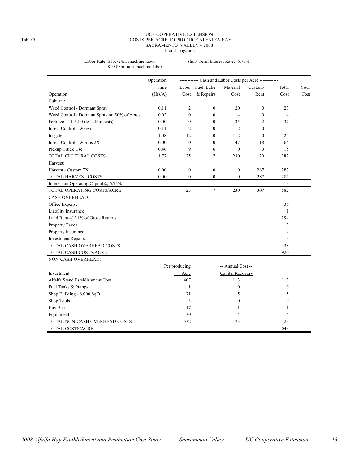### UC COOPERATIVE EXTENSION Table 5. COSTS PER ACRE TO PRODUCE ALFALFA HAY SACRAMENTO VALLEY – 2008 Flood Irrigation

### Labor Rate: \$15.72/hr. machine labor Short Term Interest Rate: 6.75% \$10.88hr. non-machine labor

|                                              | Operation<br>------------ Cash and Labor Costs per Acre ------------ |                  |                  |                   |                  |                |                     |  |  |
|----------------------------------------------|----------------------------------------------------------------------|------------------|------------------|-------------------|------------------|----------------|---------------------|--|--|
|                                              | Time                                                                 |                  | Labor Fuel, Lube | Material          | Custom/          | Total          | Your                |  |  |
| Operation                                    | (Hrs/A)                                                              | Cost             | & Repairs        | Cost              | Rent             | Cost           | $\mathop{\rm Cost}$ |  |  |
| Cultural:                                    |                                                                      |                  |                  |                   |                  |                |                     |  |  |
| Weed Control - Dormant Spray                 | 0.11                                                                 | $\overline{2}$   | $\boldsymbol{0}$ | 20                | $\boldsymbol{0}$ | 23             |                     |  |  |
| Weed Control - Dormant Spray on 50% of Acres | 0.02                                                                 | $\mathbf{0}$     | $\overline{0}$   | $\overline{4}$    | $\mathbf{0}$     | 4              |                     |  |  |
| Fertilize - 11-52-0 (& sulfur costs)         | 0.00                                                                 | $\mathbf{0}$     | $\overline{0}$   | 35                | $\overline{c}$   | 37             |                     |  |  |
| <b>Insect Control - Weevil</b>               | 0.11                                                                 | $\overline{2}$   | $\theta$         | 12                | $\theta$         | 15             |                     |  |  |
| Irrigate                                     | 1.08                                                                 | 12               | $\theta$         | 112               | $\theta$         | 124            |                     |  |  |
| Insect Control - Worms 2X                    | 0.00                                                                 | $\mathbf{0}$     | $\boldsymbol{0}$ | 47                | 18               | 64             |                     |  |  |
| Pickup Truck Use                             | 0.46                                                                 | 9                | 6                | $\overline{0}$    | $\overline{0}$   | 15             |                     |  |  |
| TOTAL CULTURAL COSTS                         | 1.77                                                                 | 25               | $\overline{7}$   | 230               | 20               | 282            |                     |  |  |
| Harvest:                                     |                                                                      |                  |                  |                   |                  |                |                     |  |  |
| Harvest - Custom 7X                          | 0.00                                                                 | $\boldsymbol{0}$ | $\boldsymbol{0}$ | $\boldsymbol{0}$  | 287              | 287            |                     |  |  |
| TOTAL HARVEST COSTS                          | 0.00                                                                 | $\mathbf{0}$     | $\mathbf{0}$     | $\overline{0}$    | 287              | 287            |                     |  |  |
| Interest on Operating Capital $\omega$ 6.75% |                                                                      |                  |                  |                   |                  | 13             |                     |  |  |
| TOTAL OPERATING COSTS/ACRE                   |                                                                      | 25               | $\overline{7}$   | 230               | 307              | 582            |                     |  |  |
| <b>CASH OVERHEAD:</b>                        |                                                                      |                  |                  |                   |                  |                |                     |  |  |
| Office Expense                               |                                                                      |                  |                  |                   |                  | 36             |                     |  |  |
| Liability Insurance                          |                                                                      |                  |                  |                   |                  | 1              |                     |  |  |
| Land Rent @ 21% of Gross Returns             |                                                                      |                  |                  |                   |                  | 294            |                     |  |  |
| Property Taxes                               |                                                                      |                  |                  |                   |                  | 3              |                     |  |  |
| Property Insurance                           |                                                                      |                  |                  |                   |                  | $\overline{2}$ |                     |  |  |
| <b>Investment Repairs</b>                    |                                                                      |                  |                  |                   |                  | 3              |                     |  |  |
| TOTAL CASH OVERHEAD COSTS                    |                                                                      |                  |                  |                   |                  | 338            |                     |  |  |
| TOTAL CASH COSTS/ACRE                        |                                                                      |                  |                  |                   |                  | 920            |                     |  |  |
| NON-CASH OVERHEAD:                           |                                                                      |                  |                  |                   |                  |                |                     |  |  |
|                                              |                                                                      | Per producing    |                  | -- Annual Cost -- |                  |                |                     |  |  |
| Investment                                   |                                                                      | Acre             |                  | Capital Recovery  |                  |                |                     |  |  |
| Alfalfa Stand Establishment Cost             |                                                                      | 407              |                  | 113               |                  | 113            |                     |  |  |
| Fuel Tanks & Pumps                           |                                                                      | $\mathbf{1}$     |                  | $\boldsymbol{0}$  |                  | $\mathbf{0}$   |                     |  |  |
| Shop Building - 8,000 SqFt                   |                                                                      | 71               |                  | 5                 |                  | 5              |                     |  |  |
| Shop Tools                                   |                                                                      | 5                |                  | $\mathbf{0}$      |                  | $\mathbf{0}$   |                     |  |  |
| Hay Barn                                     |                                                                      | 17               |                  | 1                 |                  | 1              |                     |  |  |
| Equipment                                    |                                                                      | 30               |                  | 4                 |                  | 4              |                     |  |  |
| TOTAL NON-CASH OVERHEAD COSTS                |                                                                      | 532              |                  | 123               |                  | 123            |                     |  |  |
| TOTAL COSTS/ACRE                             |                                                                      |                  |                  |                   |                  | 1,043          |                     |  |  |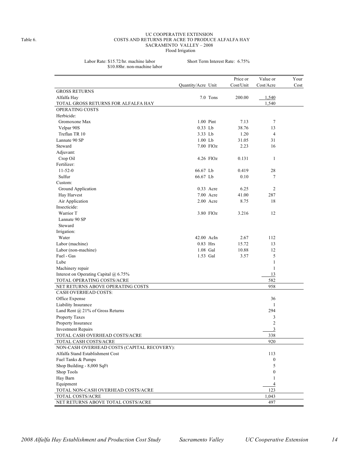### UC COOPERATIVE EXTENSION Table 6. COSTS AND RETURNS PER ACRE TO PRODUCE ALFALFA HAY SACRAMENTO VALLEY – 2008 Flood Irrigation

Labor Rate: \$15.72/hr. machine labor Short Term Interest Rate: 6.75%

| \$10.88hr. non-machine labor |  |
|------------------------------|--|
|------------------------------|--|

| Cost/Unit<br>Cost/Acre<br>Quantity/Acre Unit<br><b>GROSS RETURNS</b> | Cost |
|----------------------------------------------------------------------|------|
|                                                                      |      |
|                                                                      |      |
| 7.0 Tons<br>200.00<br>1,540<br>Alfalfa Hay                           |      |
| 1,540<br>TOTAL GROSS RETURNS FOR ALFALFA HAY                         |      |
| OPERATING COSTS                                                      |      |
| Herbicide:                                                           |      |
| Gromoxone Max<br>1.00 Pint<br>7.13<br>7                              |      |
| $0.33$ Lb<br>38.76<br>Velpar 90S<br>13                               |      |
| Treflan TR 10<br>3.33 Lb<br>$\overline{4}$<br>1.20                   |      |
| Lannate 90 SP<br>$1.00$ Lb<br>31<br>31.05                            |      |
| Steward<br>7.00 FlOz<br>16<br>2.23                                   |      |
| Adjuvant:                                                            |      |
| Crop Oil<br>$\mathbf{1}$<br>$4.26$ FlOz<br>0.131                     |      |
| Fertilizer:                                                          |      |
| $11 - 52 - 0$<br>66.67 Lb<br>0.419<br>28                             |      |
| Sulfur<br>66.67 Lb<br>7<br>0.10                                      |      |
| Custom:                                                              |      |
| Ground Application<br>0.33 Acre<br>6.25<br>2                         |      |
| Hay Harvest<br>7.00 Acre<br>41.00<br>287                             |      |
| Air Application<br>2.00 Acre<br>18<br>8.75                           |      |
| Insecticide:                                                         |      |
| Warrior T<br>3.80 FlOz<br>3.216<br>12                                |      |
| Lannate 90 SP                                                        |      |
| Steward                                                              |      |
| Irrigation:                                                          |      |
| Water<br>42.00 AcIn<br>2.67<br>112                                   |      |
| Labor (machine)<br>0.83 Hrs<br>15.72<br>13                           |      |
| Labor (non-machine)<br>1.08 Gal<br>12<br>10.88                       |      |
| 5<br>Fuel - Gas<br>1.53 Gal<br>3.57                                  |      |
| $\mathbf{1}$<br>Lube                                                 |      |
| Machinery repair<br>$\mathbf{1}$                                     |      |
| Interest on Operating Capital @ 6.75%<br>13                          |      |
| TOTAL OPERATING COSTS/ACRE<br>582                                    |      |
| 958<br>NET RETURNS ABOVE OPERATING COSTS                             |      |
| CASH OVERHEAD COSTS:                                                 |      |
| Office Expense<br>36                                                 |      |
| Liability Insurance<br>1                                             |      |
| Land Rent @ 21% of Gross Returns<br>294                              |      |
| 3<br>Property Taxes                                                  |      |
| $\mathfrak{2}$<br>Property Insurance                                 |      |
| $\overline{\mathbf{3}}$<br><b>Investment Repairs</b>                 |      |
| 338<br>TOTAL CASH OVERHEAD COSTS/ACRE                                |      |
| TOTAL CASH COSTS/ACRE<br>920                                         |      |
| NON-CASH OVERHEAD COSTS (CAPITAL RECOVERY):                          |      |
| Alfalfa Stand Establishment Cost<br>113                              |      |
| Fuel Tanks & Pumps<br>$\boldsymbol{0}$                               |      |
| Shop Building - 8,000 SqFt<br>5                                      |      |
| Shop Tools<br>$\boldsymbol{0}$                                       |      |
| Hay Barn<br>1                                                        |      |
| Equipment<br>$\overline{4}$                                          |      |
| 123<br>TOTAL NON-CASH OVERHEAD COSTS/ACRE                            |      |
| TOTAL COSTS/ACRE<br>1,043                                            |      |
| NET RETURNS ABOVE TOTAL COSTS/ACRE<br>497                            |      |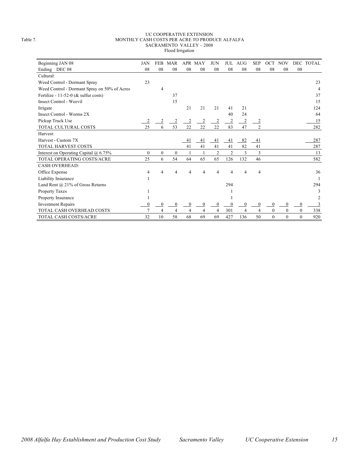### UC COOPERATIVE EXTENSION Table 7. MONTHLY CASH COSTS PER ACRE TO PRODUCE ALFALFA SACRAMENTO VALLEY – 2008 Flood Irrigation

| Beginning JAN 08                             | JAN      | <b>FEB</b>   | <b>MAR</b>     |                | APR MAY      | <b>JUN</b>     | <b>JUL</b>     | <b>AUG</b>     | <b>SEP</b>     | <b>OCT</b>       | <b>NOV</b>   |                | DEC TOTAL      |
|----------------------------------------------|----------|--------------|----------------|----------------|--------------|----------------|----------------|----------------|----------------|------------------|--------------|----------------|----------------|
| Ending DEC 08                                | 08       | 08           | 08             | 08             | 08           | 08             | 08             | 08             | 08             | 08               | 08           | 08             |                |
| Cultural:                                    |          |              |                |                |              |                |                |                |                |                  |              |                |                |
| Weed Control - Dormant Spray                 | 23       |              |                |                |              |                |                |                |                |                  |              |                | 23             |
| Weed Control - Dormant Spray on 50% of Acres |          | 4            |                |                |              |                |                |                |                |                  |              |                | $\overline{4}$ |
| Fertilize - 11-52-0 ( $&$ sulfur costs)      |          |              | 37             |                |              |                |                |                |                |                  |              |                | 37             |
| <b>Insect Control - Weevil</b>               |          |              | 15             |                |              |                |                |                |                |                  |              |                | 15             |
| Irrigate                                     |          |              |                | 21             | 21           | 21             | 41             | 21             |                |                  |              |                | 124            |
| Insect Control - Worms 2X                    |          |              |                |                |              |                | 40             | 24             |                |                  |              |                | 64             |
| Pickup Truck Use                             |          | 2            | $\overline{2}$ | $\overline{2}$ |              | 2              | $\overline{c}$ | $\overline{2}$ | $\overline{2}$ |                  |              |                | 15             |
| TOTAL CULTURAL COSTS                         | 25       | 6            | 53             | 22             | 22           | 22             | 83             | 47             | $\overline{c}$ |                  |              |                | 282            |
| Harvest:                                     |          |              |                |                |              |                |                |                |                |                  |              |                |                |
| Harvest - Custom 7X                          |          |              |                | 41             | 41           | 41             | 41             | 82             | 41             |                  |              |                | 287            |
| TOTAL HARVEST COSTS                          |          |              |                | 41             | 41           | 41             | 41             | 82             | 41             |                  |              |                | 287            |
| Interest on Operating Capital $(a)$ 6.75%    | $\theta$ | $\mathbf{0}$ | $\mathbf{0}$   |                |              | $\overline{2}$ | $\overline{2}$ | 3              | 3              |                  |              |                | 13             |
| TOTAL OPERATING COSTS/ACRE                   | 25       | 6            | 54             | 64             | 65           | 65             | 126            | 132            | 46             |                  |              |                | 582            |
| <b>CASH OVERHEAD:</b>                        |          |              |                |                |              |                |                |                |                |                  |              |                |                |
| Office Expense                               | 4        | 4            | 4              | 4              |              | 4              | 4              | 4              | 4              |                  |              |                | 36             |
| Liability Insurance                          |          |              |                |                |              |                |                |                |                |                  |              |                |                |
| Land Rent @ 21% of Gross Returns             |          |              |                |                |              |                | 294            |                |                |                  |              |                | 294            |
| Property Taxes                               |          |              |                |                |              |                |                |                |                |                  |              |                | 3              |
| Property Insurance                           |          |              |                |                |              |                |                |                |                |                  |              |                |                |
| <b>Investment Repairs</b>                    |          | $\Omega$     | $\mathbf{0}$   | $\mathbf{0}$   | $\mathbf{0}$ |                | $\theta$       | $\mathbf{0}$   | $\mathbf{0}$   | $\mathbf{0}$     | 0            | 0              | 3              |
| TOTAL CASH OVERHEAD COSTS                    |          | 4            | $\overline{4}$ | 4              | 4            | $\overline{4}$ | 301            | $\overline{4}$ | 4              | $\boldsymbol{0}$ | $\Omega$     | $\theta$       | 338            |
| TOTAL CASH COSTS/ACRE                        | 32       | 10           | 58             | 68             | 69           | 69             | 427            | 136            | 50             | $\mathbf{0}$     | $\mathbf{0}$ | $\overline{0}$ | 920            |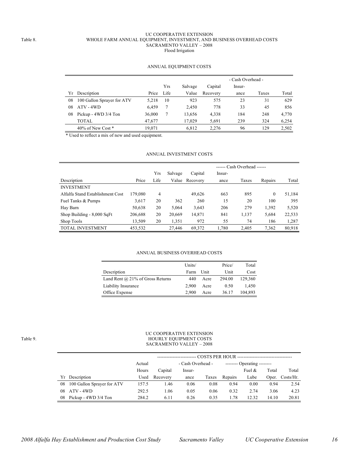### UC COOPERATIVE EXTENSION Table 8. WHOLE FARM ANNUAL EQUIPMENT, INVESTMENT, AND BUSINESS OVERHEAD COSTS SACRAMENTO VALLEY – 2008 Flood Irrigation

## ANNUAL EQUIPMENT COSTS

|    |                            |        |      |         | - Cash Overhead - |        |       |       |  |  |  |
|----|----------------------------|--------|------|---------|-------------------|--------|-------|-------|--|--|--|
|    |                            |        | Yrs  | Salvage | Capital           | Insur- |       |       |  |  |  |
| Υr | Description                | Price  | Life | Value   | Recovery          | ance   | Taxes | Total |  |  |  |
| 08 | 100 Gallon Sprayer for ATV | 5.218  | 10   | 923     | 575               | 23     | 31    | 629   |  |  |  |
| 08 | $ATV - 4WD$                | 6.459  |      | 2.450   | 778               | 33     | 45    | 856   |  |  |  |
| 08 | Pickup - 4WD 3/4 Ton       | 36,000 |      | 13.656  | 4,338             | 184    | 248   | 4.770 |  |  |  |
|    | <b>TOTAL</b>               | 47,677 |      | 17.029  | 5,691             | 239    | 324   | 6,254 |  |  |  |
|    | $40\%$ of New Cost $*$     | 19.071 |      | 6,812   | 2,276             | 96     | 129   | 2,502 |  |  |  |

\* Used to reflect a mix of new and used equipment.

## ANNUAL INVESTMENT COSTS

|                                  |         |      | $---$ Cash Overhead $---$ |          |        |       |              |        |  |
|----------------------------------|---------|------|---------------------------|----------|--------|-------|--------------|--------|--|
|                                  |         | Yrs  | Salvage                   | Capital  | Insur- |       |              |        |  |
| Description                      | Price   | Life | Value                     | Recovery | ance   | Taxes | Repairs      | Total  |  |
| <b>INVESTMENT</b>                |         |      |                           |          |        |       |              |        |  |
| Alfalfa Stand Establishment Cost | 179,080 | 4    |                           | 49,626   | 663    | 895   | $\mathbf{0}$ | 51,184 |  |
| Fuel Tanks & Pumps               | 3,617   | 20   | 362                       | 260      | 15     | 20    | 100          | 395    |  |
| Hay Barn                         | 50,638  | 20   | 5,064                     | 3,643    | 206    | 279   | 1,392        | 5,520  |  |
| Shop Building - 8,000 SqFt       | 206,688 | 20   | 20,669                    | 14,871   | 841    | 1,137 | 5,684        | 22,533 |  |
| Shop Tools                       | 13,509  | 20   | 1,351                     | 972      | 55     | 74    | 186          | 1,287  |  |
| <b>TOTAL INVESTMENT</b>          | 453,532 |      | 27.446                    | 69,372   | 1.780  | 2,405 | 7,362        | 80,918 |  |

### ANNUAL BUSINESS OVERHEAD COSTS

|                                         | Units/ |      | Price/ | Total   |
|-----------------------------------------|--------|------|--------|---------|
| Description                             | Farm   | Unit | Unit   | Cost    |
| Land Rent $\omega$ 21% of Gross Returns | 440    | Acre | 294.00 | 129.360 |
| Liability Insurance                     | 2.900  | Acre | 0.50   | 1.450   |
| Office Expense                          | 2.900  | Acre | 36.17  | 104,893 |

### UC COOPERATIVE EXTENSION Table 9. HOURLY EQUIPMENT COSTS SACRAMENTO VALLEY – 2008

|    |                            | Actual |          | - Cash Overhead -<br>-------- Operating -------- |       |         |           |       |                 |
|----|----------------------------|--------|----------|--------------------------------------------------|-------|---------|-----------|-------|-----------------|
|    |                            | Hours  | Capital  | Insur-                                           |       |         | Fuel $\&$ | Total | Total           |
| Yr | Description                | Used   | Recovery | ance                                             | Taxes | Repairs | Lube      |       | Oper. Costs/Hr. |
| 08 | 100 Gallon Sprayer for ATV | 157.5  | 1.46     | 0.06                                             | 0.08  | 0.94    | 0.00      | 0.94  | 2.54            |
| 08 | ATV - 4WD                  | 292.5  | 1.06     | 0.05                                             | 0.06  | 0.32    | 2.74      | 3.06  | 4.23            |
| 08 | Pickup - 4WD 3/4 Ton       | 284.2  | 6.11     | 0.26                                             | 0.35  | 1.78    | 12.32     | 14.10 | 20.81           |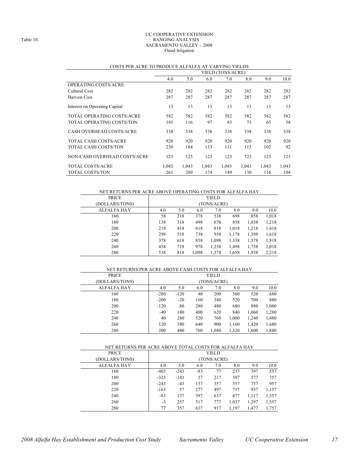### UC COOPERATIVE EXTENSION Table 10. RANGING ANALYSIS SACRAMENTO VALLEY – 2008 Flood Irrigation

|                               | YIELD (TONS/ACRE) |       |       |       |       |       |       |  |  |  |
|-------------------------------|-------------------|-------|-------|-------|-------|-------|-------|--|--|--|
|                               | 4.0               | 5.0   | 6.0   | 7.0   | 8.0   | 9.0   | 10.0  |  |  |  |
| <b>OPERATING COSTS/ACRE:</b>  |                   |       |       |       |       |       |       |  |  |  |
| Cultural Cost                 | 282               | 282   | 282   | 282   | 282   | 282   | 282   |  |  |  |
| Harvest Cost                  | 287               | 287   | 287   | 287   | 287   | 287   | 287   |  |  |  |
| Interest on Operating Capital | 13                | 13    | 13    | 13    | 13    | 13    | 13    |  |  |  |
| TOTAL OPERATING COSTS/ACRE    | 582               | 582   | 582   | 582   | 582   | 582   | 582   |  |  |  |
| TOTAL OPERATING COSTS/TON     | 145               | 116   | 97    | 83    | 73    | 65    | 58    |  |  |  |
| CASH OVERHEAD COSTS/ACRE      | 338               | 338   | 338   | 338   | 338   | 338   | 338   |  |  |  |
| <b>TOTAL CASH COSTS/ACRE</b>  | 920               | 920   | 920   | 920   | 920   | 920   | 920   |  |  |  |
| TOTAL CASH COSTS/TON          | 230               | 184   | 153   | 131   | 115   | 102   | 92    |  |  |  |
| NON-CASH OVERHEAD COSTS/ACRE  | 123               | 123   | 123   | 123   | 123   | 123   | 123   |  |  |  |
| <b>TOTAL COSTS/ACRE</b>       | 1.043             | 1,043 | 1,043 | 1,043 | 1,043 | 1,043 | 1,043 |  |  |  |
| TOTAL COSTS/TON               | 261               | 209   | 174   | 149   | 130   | 116   | 104   |  |  |  |

### COSTS PER ACRE TO PRODUCE ALFALFA AT VARYING YIELDS

## NET RETURNS PER ACRE ABOVE OPERATING COSTS FOR ALFALFA HAY

| PRICE          |     |     |       | YIELD       |       |       |       |
|----------------|-----|-----|-------|-------------|-------|-------|-------|
| (DOLLARS/TONS) |     |     |       | (TONS/ACRE) |       |       |       |
| ALFALFA HAY    | 4.0 | 5.0 | 6.0   | 7.0         | 8.0   | 9.0   | 10.0  |
| 160            | 58  | 218 | 378   | 538         | 698   | 858   | 1,018 |
| 180            | 138 | 318 | 498   | 678         | 858   | 1,038 | 1,218 |
| 200            | 218 | 418 | 618   | 818         | 1,018 | 1,218 | 1,418 |
| 220            | 298 | 518 | 738   | 958         | 1,178 | 1,398 | 1,618 |
| 240            | 378 | 618 | 858   | 1,098       | 1,338 | 1,578 | 1,818 |
| 260            | 458 | 718 | 978   | 1,238       | 1,498 | 1,758 | 2,018 |
| 280            | 538 | 818 | 1,098 | 1,378       | 1,658 | 1,938 | 2,218 |

### NET RETURNS PER ACRE ABOVE CASH COSTS FOR ALFALFA HAY

| <b>PRICE</b>   |        |        |     | YIELD       |       |       |       |
|----------------|--------|--------|-----|-------------|-------|-------|-------|
| (DOLLARS/TONS) |        |        |     | (TONS/ACRE) |       |       |       |
| ALFALFA HAY    | 4.0    | 5.0    | 6.0 | 7.0         | 8.0   | 9.0   | 10.0  |
| 160            | $-280$ | $-120$ | 40  | 200         | 360   | 520   | 680   |
| 180            | $-200$ | $-20$  | 160 | 340         | 520   | 700   | 880   |
| 200            | $-120$ | 80     | 280 | 480         | 680   | 880   | 1,080 |
| 220            | $-40$  | 180    | 400 | 620         | 840   | 1,060 | 1,280 |
| 240            | 40     | 280    | 520 | 760         | 1,000 | 1,240 | 1,480 |
| 260            | 120    | 380    | 640 | 900         | 1,160 | 1,420 | 1,680 |
| 280            | 200    | 480    | 760 | 1,040       | 1,320 | 1,600 | 1,880 |

## NET RETURNS PER ACRE ABOVE TOTAL COSTS FOR ALFALFA HAY

| (DOLLARS/TONS)<br>(TONS/ACRE)<br>10.0<br>ALFALFA HAY<br>8.0<br>9.0<br>4.0<br>5.0<br>7.0<br>6.0<br>557<br>$-83$<br>397<br>160<br>$-403$<br>$-243$<br>237<br>77<br>180<br>757<br>$-323$<br>$-143$<br>37<br>397<br>577<br>217<br>200<br>$-43$<br>757<br>957<br>$-243$<br>157<br>357<br>557<br>220<br>$-163$<br>497<br>937<br>57<br>1,157<br>277<br>717<br>240<br>$-83$<br>157<br>397<br>637<br>1,357<br>877<br>1,117<br>260<br>1,557<br>257<br>777<br>1,037<br>1,297<br>$-3$<br>517<br>280<br>1,197<br>357<br>637<br>1,477<br>1,757<br>77<br>917 | <b>PRICE</b> |  | YIELD |  |  |
|-----------------------------------------------------------------------------------------------------------------------------------------------------------------------------------------------------------------------------------------------------------------------------------------------------------------------------------------------------------------------------------------------------------------------------------------------------------------------------------------------------------------------------------------------|--------------|--|-------|--|--|
|                                                                                                                                                                                                                                                                                                                                                                                                                                                                                                                                               |              |  |       |  |  |
|                                                                                                                                                                                                                                                                                                                                                                                                                                                                                                                                               |              |  |       |  |  |
|                                                                                                                                                                                                                                                                                                                                                                                                                                                                                                                                               |              |  |       |  |  |
|                                                                                                                                                                                                                                                                                                                                                                                                                                                                                                                                               |              |  |       |  |  |
|                                                                                                                                                                                                                                                                                                                                                                                                                                                                                                                                               |              |  |       |  |  |
|                                                                                                                                                                                                                                                                                                                                                                                                                                                                                                                                               |              |  |       |  |  |
|                                                                                                                                                                                                                                                                                                                                                                                                                                                                                                                                               |              |  |       |  |  |
|                                                                                                                                                                                                                                                                                                                                                                                                                                                                                                                                               |              |  |       |  |  |
|                                                                                                                                                                                                                                                                                                                                                                                                                                                                                                                                               |              |  |       |  |  |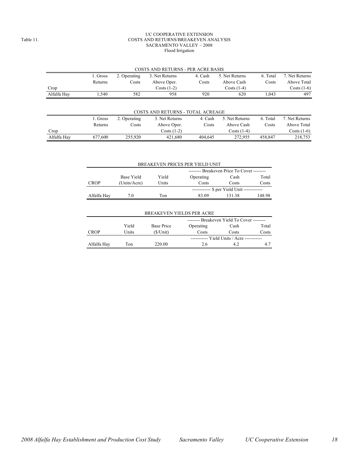### UC COOPERATIVE EXTENSION Table 11. COSTS AND RETURNS/BREAKEVEN ANALYSIS SACRAMENTO VALLEY – 2008 Flood Irrigation

|             |                                                                                     |              | COSTS AND RETURNS - PER ACRE BASIS       |         |                |          |                |  |  |
|-------------|-------------------------------------------------------------------------------------|--------------|------------------------------------------|---------|----------------|----------|----------------|--|--|
|             | 4. Cash<br>6. Total<br>1. Gross<br>5. Net Returns<br>3. Net Returns<br>2. Operating |              |                                          |         |                |          |                |  |  |
|             | Returns                                                                             | Costs        | Above Oper.                              | Costs   | Above Cash     | Costs    | Above Total    |  |  |
| Crop        |                                                                                     |              | Costs $(1-2)$                            |         | Costs $(1-4)$  |          | Costs $(1-6)$  |  |  |
| Alfalfa Hay | ۔ 540ء                                                                              | 582          | 958                                      | 920     | 620            | 1.043    | 497            |  |  |
|             |                                                                                     |              | <b>COSTS AND RETURNS - TOTAL ACREAGE</b> |         |                |          |                |  |  |
|             | l. Gross                                                                            | 2. Operating | 3. Net Returns                           | 4. Cash | 5. Net Returns | 6. Total | 7. Net Returns |  |  |

|             | I. Gross | 2. Operating | 3. Net Returns       | 4. Cash | 5. Net Returns | 6. Total | Net Returns   |
|-------------|----------|--------------|----------------------|---------|----------------|----------|---------------|
|             | Returns  | Costs        | Above Oper.          | Costs   | Above Cash     | Costs    | Above Total   |
| Crop        |          |              | $\text{Costs}$ (1-2) |         | Costs (1-4)    |          | Costs $(1-6)$ |
| Alfalfa Hav | 677.600  | 255.920      | 421.680              | 404.645 | 272.955        | 458.847  | 218.753       |

|             | BREAKEVEN PRICES PER YIELD UNIT            |              |       |                                            |        |  |  |  |  |  |
|-------------|--------------------------------------------|--------------|-------|--------------------------------------------|--------|--|--|--|--|--|
|             | -------- Breakeven Price To Cover -------- |              |       |                                            |        |  |  |  |  |  |
|             | Base Yield                                 | Cash         | Total |                                            |        |  |  |  |  |  |
| <b>CROP</b> | (Units/Acre)                               | <b>Units</b> | Costs | Costs                                      | Costs  |  |  |  |  |  |
|             |                                            |              |       | ----------- \$ per Yield Unit ------------ |        |  |  |  |  |  |
| Alfalfa Hay | 7.0                                        | Ton          | 83.09 | 13138                                      | 148.98 |  |  |  |  |  |
|             |                                            |              |       |                                            |        |  |  |  |  |  |

|             | <b>BREAKEVEN YIELDS PER ACRE</b>           |            |                                     |       |       |  |  |  |  |  |
|-------------|--------------------------------------------|------------|-------------------------------------|-------|-------|--|--|--|--|--|
|             | -------- Breakeven Yield To Cover -------- |            |                                     |       |       |  |  |  |  |  |
|             | Yield                                      | Base Price | Operating                           | Cash  | Total |  |  |  |  |  |
| CROP        | Units                                      | (S/Unit)   | Costs                               | Costs | Costs |  |  |  |  |  |
|             |                                            |            | ----------- Yield Units / Acre ---- |       |       |  |  |  |  |  |
| Alfalfa Hay | Ton                                        | 220.00     | 2.6                                 | 42    | 4.7   |  |  |  |  |  |